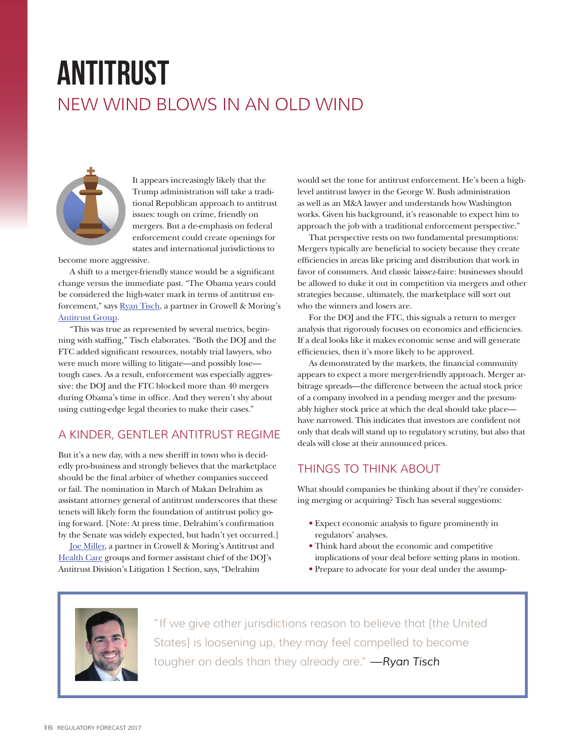# antitrust NEW WIND BLOWS IN AN OLD WIND



It appears increasingly likely that the Trump administration will take a traditional Republican approach to antitrust issues: tough on crime, friendly on mergers. But a de-emphasis on federal enforcement could create openings for states and international jurisdictions to

become more aggressive.

A shift to a merger-friendly stance would be a significant change versus the immediate past. "The Obama years could be considered the high-water mark in terms of antitrust enforcement," says [Ryan Tisch,](https://www.crowell.com/Professionals/Ryan-Tisch) a partner in Crowell & Moring's [Antitrust Group.](https://www.crowell.com/Practices/Antitrust)

"This was true as represented by several metrics, beginning with staffing," Tisch elaborates. "Both the DOJ and the FTC added significant resources, notably trial lawyers, who were much more willing to litigate—and possibly lose tough cases. As a result, enforcement was especially aggressive: the DOJ and the FTC blocked more than 40 mergers during Obama's time in office. And they weren't shy about using cutting-edge legal theories to make their cases."

## A KINDER, GENTLER ANTITRUST REGIME

But it's a new day, with a new sheriff in town who is decidedly pro-business and strongly believes that the marketplace should be the final arbiter of whether companies succeed or fail. The nomination in March of Makan Delrahim as assistant attorney general of antitrust underscores that these tenets will likely form the foundation of antitrust policy going forward. [Note: At press time, Delrahim's confirmation by the Senate was widely expected, but hadn't yet occurred.]

[Joe Miller,](https://www.crowell.com/Professionals/Joseph-Miller) a partner in Crowell & Moring's Antitrust and [Health Care](https://www.crowell.com/Practices/Health-Care) groups and former assistant chief of the DOJ's Antitrust Division's Litigation 1 Section, says, "Delrahim

would set the tone for antitrust enforcement. He's been a highlevel antitrust lawyer in the George W. Bush administration as well as an M&A lawyer and understands how Washington works. Given his background, it's reasonable to expect him to approach the job with a traditional enforcement perspective."

That perspective rests on two fundamental presumptions: Mergers typically are beneficial to society because they create efficiencies in areas like pricing and distribution that work in favor of consumers. And classic laissez-faire: businesses should be allowed to duke it out in competition via mergers and other strategies because, ultimately, the marketplace will sort out who the winners and losers are.

For the DOJ and the FTC, this signals a return to merger analysis that rigorously focuses on economics and efficiencies. If a deal looks like it makes economic sense and will generate efficiencies, then it's more likely to be approved.

As demonstrated by the markets, the financial community appears to expect a more merger-friendly approach. Merger arbitrage spreads—the difference between the actual stock price of a company involved in a pending merger and the presumably higher stock price at which the deal should take place have narrowed. This indicates that investors are confident not only that deals will stand up to regulatory scrutiny, but also that deals will close at their announced prices.

### THINGS TO THINK ABOUT

What should companies be thinking about if they're considering merging or acquiring? Tisch has several suggestions:

- Expect economic analysis to figure prominently in regulators' analyses.
- Think hard about the economic and competitive implications of your deal before setting plans in motion.
- Prepare to advocate for your deal under the assump-



"If we give other jurisdictions reason to believe that [the United States] is loosening up, they may feel compelled to become tougher on deals than they already are." *—Ryan Tisch*